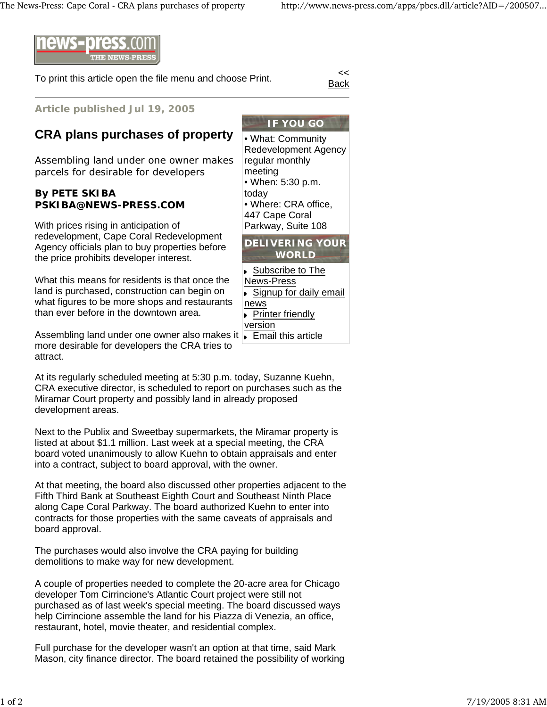

To print this article open the file menu and choose Print.

Back

**Article published Jul 19, 2005**

## **CRA plans purchases of property**

Assembling land under one owner makes parcels for desirable for developers

## **By PETE SKIBA PSKIBA@NEWS-PRESS.COM**

With prices rising in anticipation of redevelopment, Cape Coral Redevelopment Agency officials plan to buy properties before the price prohibits developer interest.

What this means for residents is that once the land is purchased, construction can begin on what figures to be more shops and restaurants than ever before in the downtown area.

Assembling land under one owner also makes it Fremail this article more desirable for developers the CRA tries to attract.

At its regularly scheduled meeting at 5:30 p.m. today, Suzanne Kuehn, CRA executive director, is scheduled to report on purchases such as the Miramar Court property and possibly land in already proposed development areas.

Next to the Publix and Sweetbay supermarkets, the Miramar property is listed at about \$1.1 million. Last week at a special meeting, the CRA board voted unanimously to allow Kuehn to obtain appraisals and enter into a contract, subject to board approval, with the owner.

At that meeting, the board also discussed other properties adjacent to the Fifth Third Bank at Southeast Eighth Court and Southeast Ninth Place along Cape Coral Parkway. The board authorized Kuehn to enter into contracts for those properties with the same caveats of appraisals and board approval.

The purchases would also involve the CRA paying for building demolitions to make way for new development.

A couple of properties needed to complete the 20-acre area for Chicago developer Tom Cirrincione's Atlantic Court project were still not purchased as of last week's special meeting. The board discussed ways help Cirrincione assemble the land for his Piazza di Venezia, an office, restaurant, hotel, movie theater, and residential complex.

Full purchase for the developer wasn't an option at that time, said Mark Mason, city finance director. The board retained the possibility of working

**IF YOU GO** • What: Community Redevelopment Agency regular monthly meeting • When: 5:30 p.m. today • Where: CRA office, 447 Cape Coral Parkway, Suite 108 **DELIVERING YOUR WORLD**

- ▶ Subscribe to The News-Press ▶ Signup for daily email news Printer friendly version
-